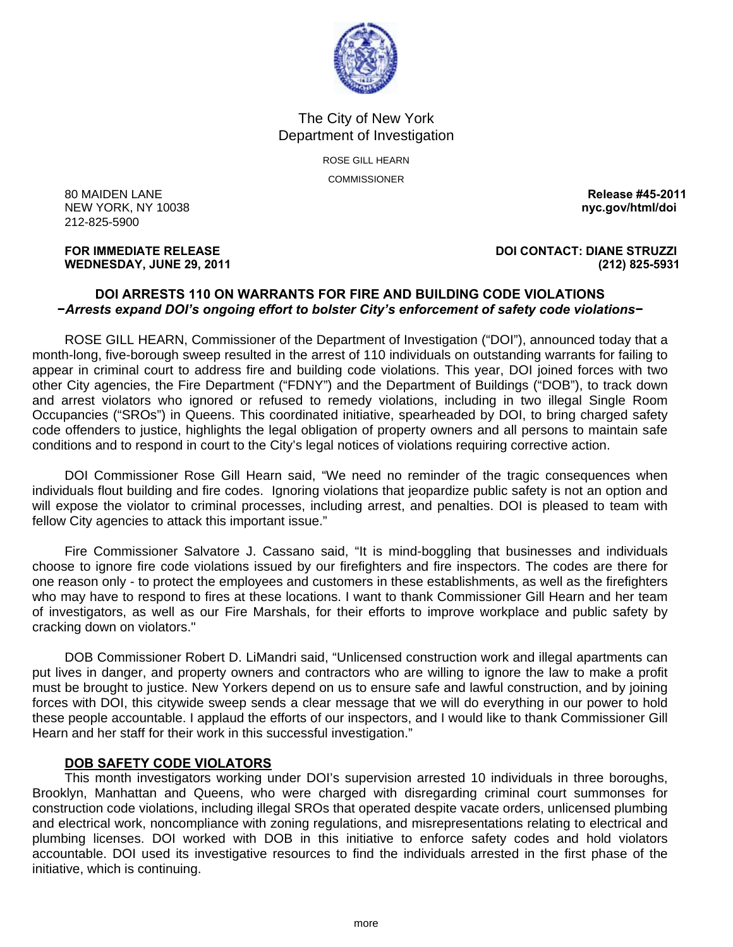

The City of New York Department of Investigation

> ROSE GILL HEARN COMMISSIONER

80 MAIDEN LANE **Release #45-2011**  NEW YORK, NY 10038 **nyc.gov/html/doi** 212-825-5900

## **FOR IMMEDIATE RELEASE DOI CONTACT: DIANE STRUZZI WEDNESDAY, JUNE 29, 2011 (212) 825-5931**

## **DOI ARRESTS 110 ON WARRANTS FOR FIRE AND BUILDING CODE VIOLATIONS −***Arrests expand DOI's ongoing effort to bolster City's enforcement of safety code violations−*

 ROSE GILL HEARN, Commissioner of the Department of Investigation ("DOI"), announced today that a month-long, five-borough sweep resulted in the arrest of 110 individuals on outstanding warrants for failing to appear in criminal court to address fire and building code violations. This year, DOI joined forces with two other City agencies, the Fire Department ("FDNY") and the Department of Buildings ("DOB"), to track down and arrest violators who ignored or refused to remedy violations, including in two illegal Single Room Occupancies ("SROs") in Queens. This coordinated initiative, spearheaded by DOI, to bring charged safety code offenders to justice, highlights the legal obligation of property owners and all persons to maintain safe conditions and to respond in court to the City's legal notices of violations requiring corrective action.

 DOI Commissioner Rose Gill Hearn said, "We need no reminder of the tragic consequences when individuals flout building and fire codes. Ignoring violations that jeopardize public safety is not an option and will expose the violator to criminal processes, including arrest, and penalties. DOI is pleased to team with fellow City agencies to attack this important issue."

 Fire Commissioner Salvatore J. Cassano said, "It is mind-boggling that businesses and individuals choose to ignore fire code violations issued by our firefighters and fire inspectors. The codes are there for one reason only - to protect the employees and customers in these establishments, as well as the firefighters who may have to respond to fires at these locations. I want to thank Commissioner Gill Hearn and her team of investigators, as well as our Fire Marshals, for their efforts to improve workplace and public safety by cracking down on violators."

 DOB Commissioner Robert D. LiMandri said, "Unlicensed construction work and illegal apartments can put lives in danger, and property owners and contractors who are willing to ignore the law to make a profit must be brought to justice. New Yorkers depend on us to ensure safe and lawful construction, and by joining forces with DOI, this citywide sweep sends a clear message that we will do everything in our power to hold these people accountable. I applaud the efforts of our inspectors, and I would like to thank Commissioner Gill Hearn and her staff for their work in this successful investigation."

# **DOB SAFETY CODE VIOLATORS**

 This month investigators working under DOI's supervision arrested 10 individuals in three boroughs, Brooklyn, Manhattan and Queens, who were charged with disregarding criminal court summonses for construction code violations, including illegal SROs that operated despite vacate orders, unlicensed plumbing and electrical work, noncompliance with zoning regulations, and misrepresentations relating to electrical and plumbing licenses. DOI worked with DOB in this initiative to enforce safety codes and hold violators accountable. DOI used its investigative resources to find the individuals arrested in the first phase of the initiative, which is continuing.